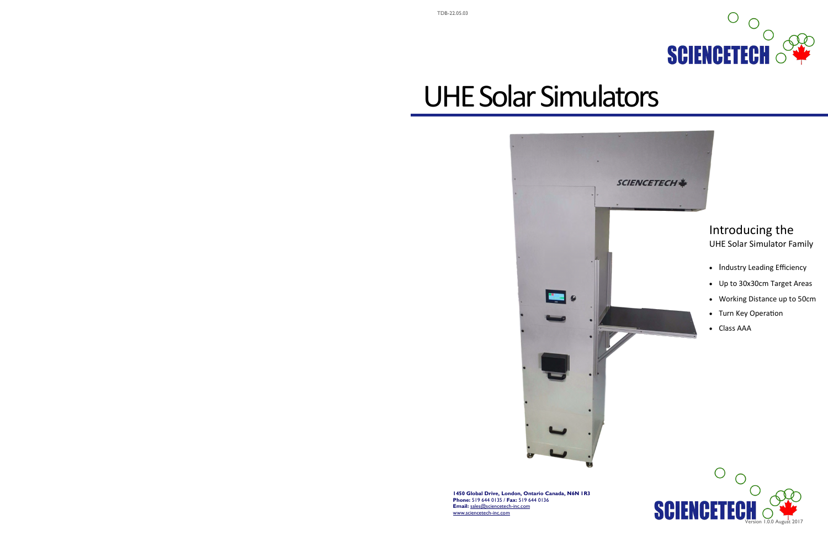

# UHE Solar Simulators



Introducing the

UHE Solar Simulator Family

- Industry Leading Efficiency
- Up to 30x30cm Target Areas
- Working Distance up to 50cm
- Turn Key Operation
- 



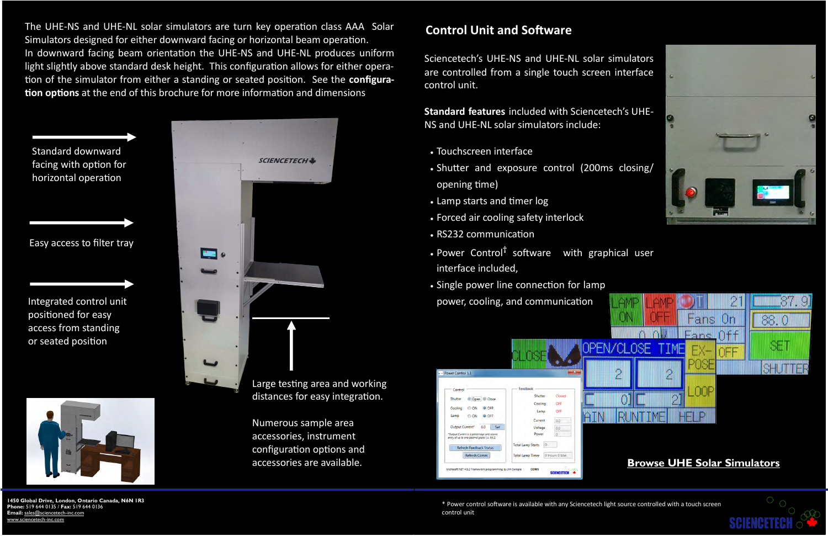**1450 Global Drive, London, Ontario Canada, N6N 1R3 Phone:** 519 644 0135 / **Fax:** 519 644 0136 **Email:** [sales@sciencetech-inc.com](mailto:sales@sciencetech-inc.com) [www.sciencetech-inc.com](http://www.sciencetech-inc.com)

Integrated control unit

positioned for easy

access from standing

or seated position

Easy access to filter tray

Large testing area and working distances for easy integration.

Numerous sample area accessories, instrument configuration options and accessories are available.

The UHE-NS and UHE-NL solar simulators are turn key operation class AAA Solar Simulators designed for either downward facing or horizontal beam operation. In downward facing beam orientation the UHE-NS and UHE-NL produces uniform light slightly above standard desk height. This configuration allows for either operation of the simulator from either a standing or seated position. See the **configuration options** at the end of this brochure for more information and dimensions



Standard downward

facing with option for horizontal operation

### **Control Unit and Software**

Sciencetech's UHE-NS and UHE-NL solar simulators are controlled from a single touch screen interface control unit.

**Standard features** included with Sciencetech's UHE-NS and UHE-NL solar simulators include:

- Touchscreen interface
- Shutter and exposure control (200ms closing/ opening time)
- Lamp starts and timer log
- Forced air cooling safety interlock
- RS232 communication
- Power Control**†** software with graphical user interface included,
- Single power line connection for lamp power, cooling, and communication



\* Power control software is available with any Sciencetech light source controlled with a touch screen control unit



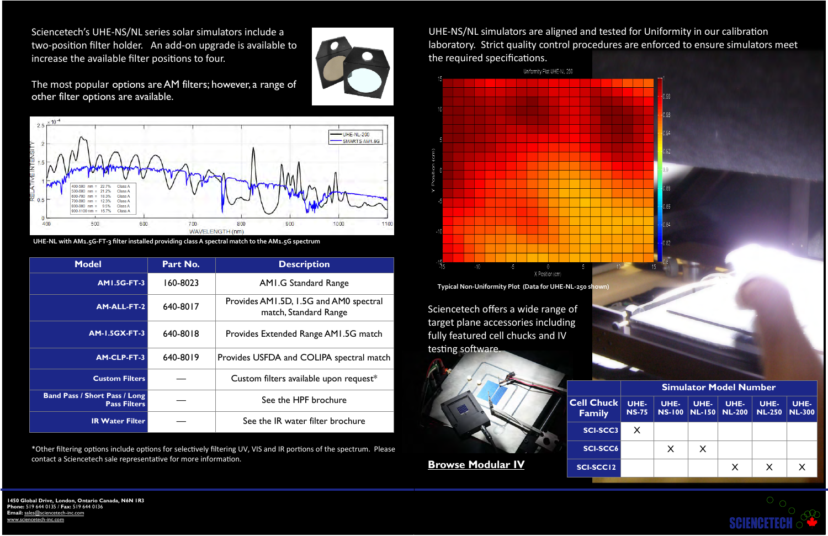**UHE-NL with AM1.5G-FT-3 filter installed providing class A spectral match to the AM1.5G spectrum**

| <b>Model</b>                                                | Part No. | <b>Description</b>                                              |  |  |
|-------------------------------------------------------------|----------|-----------------------------------------------------------------|--|--|
| <b>AM1.5G-FT-3</b>                                          | 160-8023 | <b>AMI.G Standard Range</b>                                     |  |  |
| AM-ALL-FT-2                                                 | 640-8017 | Provides AM1.5D, 1.5G and AM0 spectral<br>match, Standard Range |  |  |
| <b>AM-1.5GX-FT-3</b>                                        | 640-8018 | Provides Extended Range AM1.5G match                            |  |  |
| AM-CLP-FT-3                                                 | 640-8019 | Provides USFDA and COLIPA spectral match                        |  |  |
| <b>Custom Filters</b>                                       |          | Custom filters available upon request*                          |  |  |
| <b>Band Pass / Short Pass / Long</b><br><b>Pass Filters</b> |          | See the HPF brochure                                            |  |  |
| <b>IR Water Filter</b>                                      |          | See the IR water filter brochure                                |  |  |

\*Other filtering options include options for selectively filtering UV, VIS and IR portions of the spectrum. Please contact a Sciencetech sale representative for more information. **[Browse Modular IV](http://www.sciencetech-inc.com/all-products/solarsimulators/modular-iv.html)** 

Sciencetech's UHE-NS/NL series solar simulators include a two-position filter holder. An add-on upgrade is available to increase the available filter positions to four.



The most popular options are AM filters; however, a range of other filter options are available.



### UHE-NS/NL simulators are aligned and tested for Uniformity in our calibration laboratory. Strict quality control procedures are enforced to ensure simulators meet



the required specifications.

Uniformity Plot UHE-NL 250

|                |                      | <b>Simulator Model Number</b> |              |                                     |                              |                              |
|----------------|----------------------|-------------------------------|--------------|-------------------------------------|------------------------------|------------------------------|
| ck             | UHE-<br><b>NS-75</b> | UHE-                          | UHE-         | <b>UHE-</b><br>NS-100 NL-150 NL-200 | <b>UHE-</b><br><b>NL-250</b> | <b>UHE-</b><br><b>NL-300</b> |
| C <sub>3</sub> | $\times$             |                               |              |                                     |                              |                              |
| C6             |                      | $\sf X$                       | $\mathsf{X}$ |                                     |                              |                              |
| $\overline{2}$ |                      |                               |              | X                                   | $\times$                     | X                            |



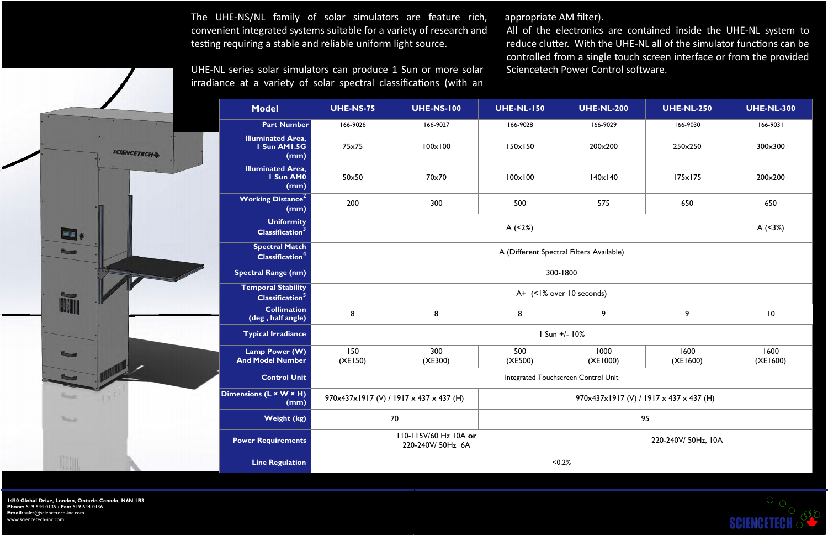**1450 Global Drive, London, Ontario Canada, N6N 1R3 Phone:** 519 644 0135 / **Fax:** 519 644 0136 **Email:** [sales@sciencetech-inc.com](mailto:sales@sciencetech-inc.com) [www.sciencetech-inc.com](http://www.sciencetech-inc.com)

 $\overline{\phantom{a}}$ 



The UHE-NS/NL family of solar simulators are feature rich, convenient integrated systems suitable for a variety of research and testing requiring a stable and reliable uniform light source.

UHE-NL series solar simulators can produce 1 Sun or more solar irradiance at a variety of solar spectral classifications (with an

appropriate AM filter). All of the electronics are contained inside the UHE-NL system to reduce clutter. With the UHE-NL all of the simulator functions can be controlled from a single touch screen interface or from the provided Sciencetech Power Control software.

|                           | <b>Model</b>                                                            | <b>UHE-NS-75</b>                         | <b>UHE-NS-100</b> | <b>UHE-NL-150</b>                       | <b>UHE-NL-200</b> | <b>UHE-NL-250</b> | <b>UHE-NL-300</b> |
|---------------------------|-------------------------------------------------------------------------|------------------------------------------|-------------------|-----------------------------------------|-------------------|-------------------|-------------------|
| <b>SCIENCETECH</b><br>E P | <b>Part Number</b>                                                      | 166-9026                                 | 166-9027          | 166-9028                                | 166-9029          | 166-9030          | 166-9031          |
|                           | <b>Illuminated Area,</b><br>I Sun AM1.5G<br>(mm)                        | 75x75                                    | $100 \times 100$  | 150x150                                 | 200×200           | 250×250           | 300×300           |
|                           | <b>Illuminated Area,</b><br>I Sun AM0<br>(mm)                           | 50×50                                    | 70×70             | $100 \times 100$                        | $140 \times 140$  | $175 \times 175$  | 200×200           |
|                           | <b>Working Distance</b> <sup>2</sup><br>(mm)                            | 200                                      | 300               | 500                                     | 575               | 650               | 650               |
|                           | <b>Uniformity</b><br>Classification <sup>3</sup>                        | A $(2%)$                                 |                   |                                         |                   |                   | A (3%)            |
|                           | <b>Spectral Match</b><br><b>Classification<sup>4</sup></b>              | A (Different Spectral Filters Available) |                   |                                         |                   |                   |                   |
|                           | <b>Spectral Range (nm)</b>                                              | 300-1800                                 |                   |                                         |                   |                   |                   |
|                           | <b>Temporal Stability</b><br>Classification <sup>5</sup>                | $A+$ (<1% over 10 seconds)               |                   |                                         |                   |                   |                   |
|                           | <b>Collimation</b><br>(deg, half angle)                                 | 8                                        | 8                 | 8                                       | 9                 | 9                 | $\overline{10}$   |
| L                         | <b>Typical Irradiance</b>                                               | $I$ Sun +/- $I$ 0%                       |                   |                                         |                   |                   |                   |
|                           | Lamp Power (W)<br><b>And Model Number</b>                               | 150<br>(XE150)                           | 300<br>(XE300)    | 500<br>(XE500)                          | 1000<br>(XE1000)  | 1600<br>(XE1600)  | 1600<br>(XE1600)  |
|                           | <b>Control Unit</b>                                                     | Integrated Touchscreen Control Unit      |                   |                                         |                   |                   |                   |
|                           | Dimensions (L × W × H)<br>(mm)                                          | 970x437x1917 (V) / 1917 x 437 x 437 (H)  |                   | 970x437x1917 (V) / 1917 x 437 x 437 (H) |                   |                   |                   |
| $\mathbb{R}_{\geq 0}$     | Weight (kg)                                                             | 70                                       |                   | 95                                      |                   |                   |                   |
|                           | 110-115V/60 Hz 10A or<br><b>Power Requirements</b><br>220-240V/ 50Hz 6A |                                          |                   | 220-240V/ 50Hz, I0A                     |                   |                   |                   |
| <b>THE REAL</b>           | <b>Line Regulation</b>                                                  | $< 0.2\%$                                |                   |                                         |                   |                   |                   |